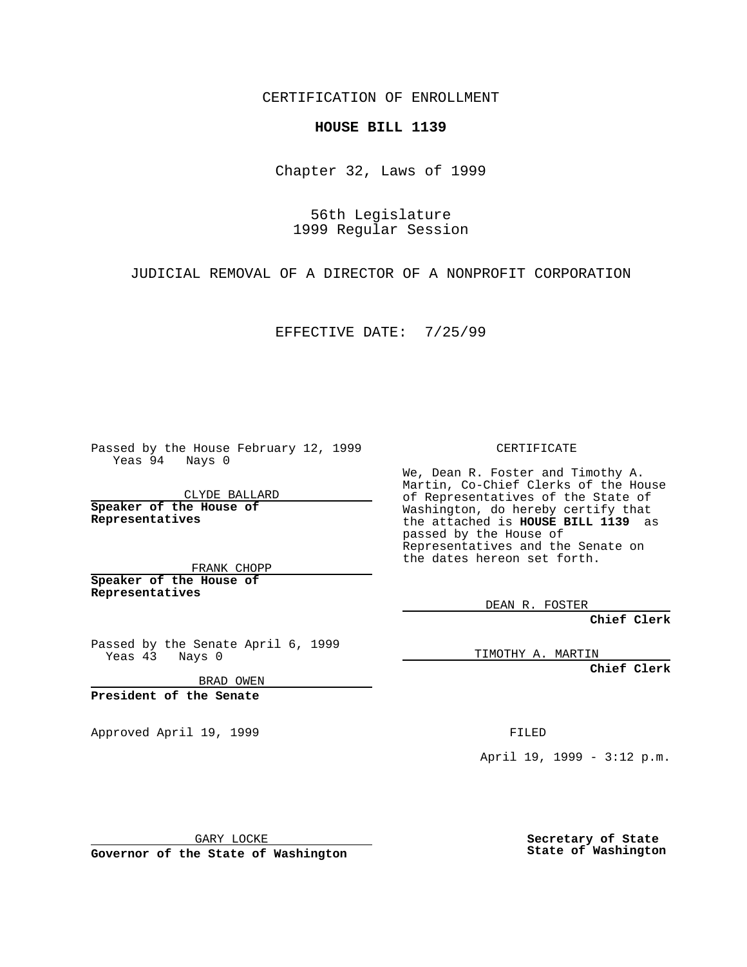CERTIFICATION OF ENROLLMENT

## **HOUSE BILL 1139**

Chapter 32, Laws of 1999

56th Legislature 1999 Regular Session

JUDICIAL REMOVAL OF A DIRECTOR OF A NONPROFIT CORPORATION

EFFECTIVE DATE: 7/25/99

Passed by the House February 12, 1999 Yeas 94 Nays 0

CLYDE BALLARD **Speaker of the House of Representatives**

FRANK CHOPP **Speaker of the House of Representatives**

Passed by the Senate April 6, 1999 Yeas 43 Nays 0

BRAD OWEN

**President of the Senate**

Approved April 19, 1999 **FILED** 

CERTIFICATE

We, Dean R. Foster and Timothy A. Martin, Co-Chief Clerks of the House of Representatives of the State of Washington, do hereby certify that the attached is **HOUSE BILL 1139** as passed by the House of Representatives and the Senate on the dates hereon set forth.

DEAN R. FOSTER

**Chief Clerk**

TIMOTHY A. MARTIN

**Chief Clerk**

April 19, 1999 - 3:12 p.m.

GARY LOCKE

**Governor of the State of Washington**

**Secretary of State State of Washington**